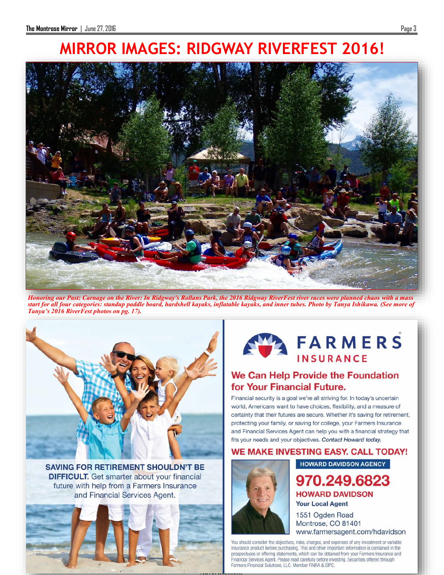# **MIRROR IMAGES: RIDGWAY RIVERFEST 2016!**



*Honoring our Past: Carnage on the River: In Ridgway's Rollans Park, the 2016 Ridgway RiverFest river races were planned chaos with a mass start for all four categories: standup paddle board, hardshell kayaks, inflatable kayaks, and inner tubes. Photo by Tanya Ishikawa. (See more of [Tanya's 2016 RiverFest photos on pg. 17\).](http://www.farmersagent.com/hdavidson)*



**SAVING FOR RETIREMENT SHOULDN'T BE DIFFICULT.** Get smarter about your financial future with help from a Farmers Insurance and Financial Services Agent.





### We Can Help Provide the Foundation for Your Financial Future.

Financial security is a goal we're all striving for. In today's uncertain world, Americans want to have choices, flexibility, and a measure of certainty that their futures are secure. Whether it's saving for retirement, protecting your family, or saving for college, your Farmers Insurance and Financial Services Agent can help you with a financial strategy that fits your needs and your objectives. Contact Howard today.

#### WE MAKE INVESTING EASY. CALL TODAY!



### **HOWARD DAVIDSON AGENCY** 970.249.6823 **HOWARD DAVIDSON Your Local Agent**

1551 Ogden Road Montrose, CO 81401 www.farmersagent.com/hdavidson

You should consider the objectives, risks, charges, and expenses of any investment or variable insurance product before purchasing. This and other important information is contained in the prospectuses or offering statements, which can be obtained from your Farmers Insurance and Financial Services Agent. Please read carefully before investing. Securities offered through Farmers Financial Solutions, LLC. Member FINRA & SIPC.